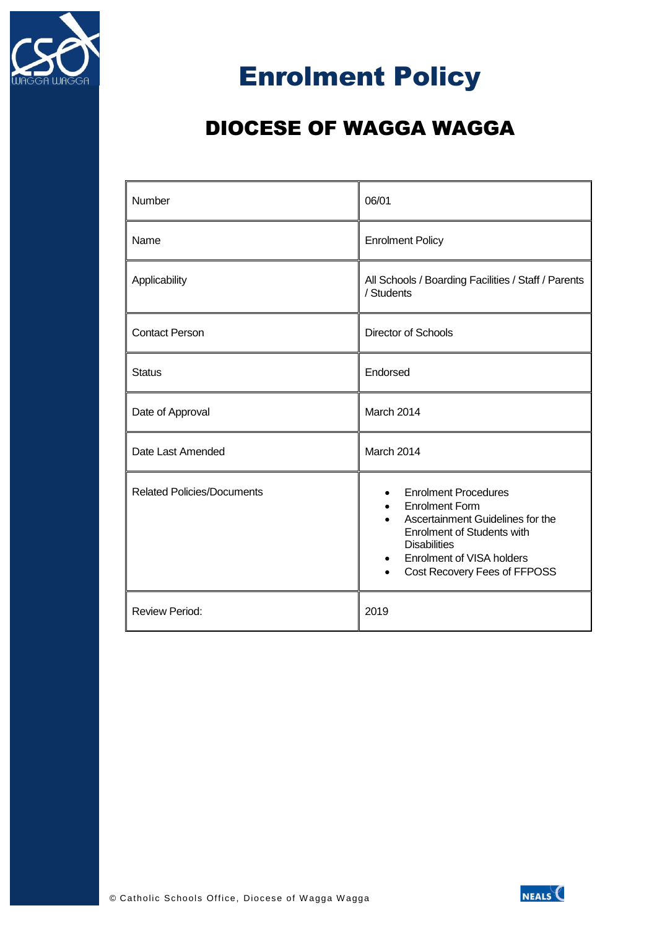

# Enrolment Policy

# DIOCESE OF WAGGA WAGGA

| Number                            | 06/01                                                                                                                                                                                                                    |
|-----------------------------------|--------------------------------------------------------------------------------------------------------------------------------------------------------------------------------------------------------------------------|
| Name                              | <b>Enrolment Policy</b>                                                                                                                                                                                                  |
| Applicability                     | All Schools / Boarding Facilities / Staff / Parents<br>/ Students                                                                                                                                                        |
| <b>Contact Person</b>             | <b>Director of Schools</b>                                                                                                                                                                                               |
| <b>Status</b>                     | Endorsed                                                                                                                                                                                                                 |
| Date of Approval                  | March 2014                                                                                                                                                                                                               |
| Date Last Amended                 | March 2014                                                                                                                                                                                                               |
| <b>Related Policies/Documents</b> | <b>Enrolment Procedures</b><br><b>Enrolment Form</b><br>Ascertainment Guidelines for the<br><b>Enrolment of Students with</b><br><b>Disabilities</b><br><b>Enrolment of VISA holders</b><br>Cost Recovery Fees of FFPOSS |
| <b>Review Period:</b>             | 2019                                                                                                                                                                                                                     |

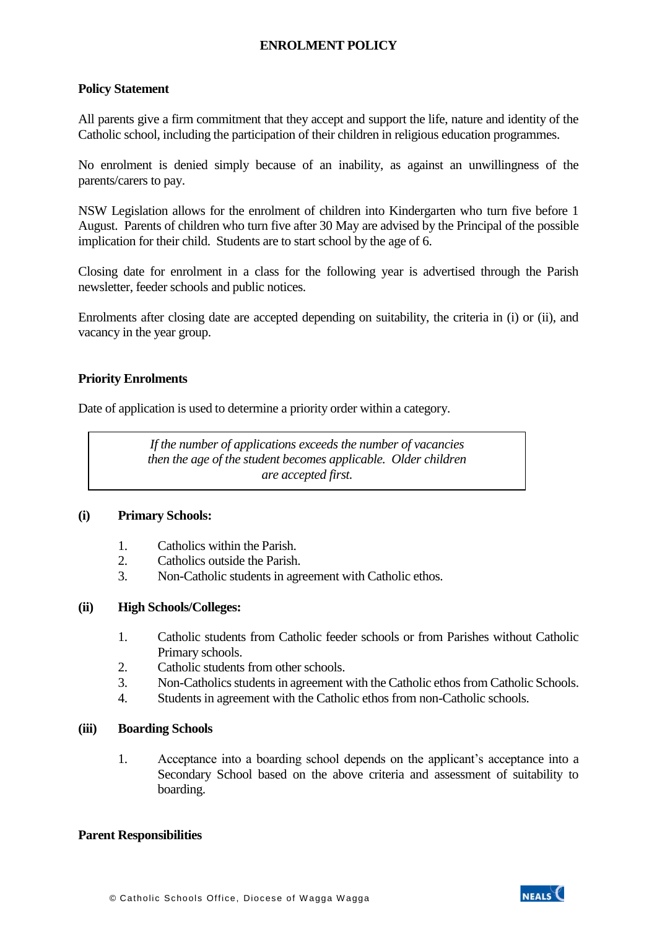# **ENROLMENT POLICY**

# **Policy Statement**

All parents give a firm commitment that they accept and support the life, nature and identity of the Catholic school, including the participation of their children in religious education programmes.

No enrolment is denied simply because of an inability, as against an unwillingness of the parents/carers to pay.

NSW Legislation allows for the enrolment of children into Kindergarten who turn five before 1 August. Parents of children who turn five after 30 May are advised by the Principal of the possible implication for their child. Students are to start school by the age of 6.

Closing date for enrolment in a class for the following year is advertised through the Parish newsletter, feeder schools and public notices.

Enrolments after closing date are accepted depending on suitability, the criteria in (i) or (ii), and vacancy in the year group.

# **Priority Enrolments**

Date of application is used to determine a priority order within a category.

*If the number of applications exceeds the number of vacancies then the age of the student becomes applicable. Older children are accepted first.*

### **(i) Primary Schools:**

- 1. Catholics within the Parish.
- 2. Catholics outside the Parish.
- 3. Non-Catholic students in agreement with Catholic ethos.

### **(ii) High Schools/Colleges:**

- 1. Catholic students from Catholic feeder schools or from Parishes without Catholic Primary schools.
- 2. Catholic students from other schools.
- 3. Non-Catholics students in agreement with the Catholic ethos from Catholic Schools.
- 4. Students in agreement with the Catholic ethos from non-Catholic schools.

### **(iii) Boarding Schools**

1. Acceptance into a boarding school depends on the applicant's acceptance into a Secondary School based on the above criteria and assessment of suitability to boarding.

### **Parent Responsibilities**